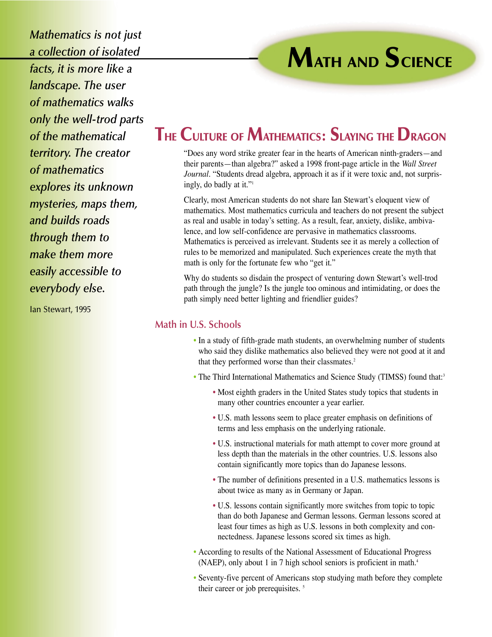*Mathematics is not just a collection of isolated facts, it is more like a landscape. The user of mathematics walks only the well-trod parts of the mathematical territory. The creator of mathematics explores its unknown mysteries, maps them, and builds roads through them to make them more easily accessible to everybody else.*

Ian Stewart, 1995

# **MATH AND SCIENCE**

## **THE CULTURE OF MATHEMATICS: SLAYING THE DRAGON**

"Does any word strike greater fear in the hearts of American ninth-graders—and their parents—than algebra?" asked a 1998 front-page article in the *Wall Street Journal*. "Students dread algebra, approach it as if it were toxic and, not surprisingly, do badly at it."1

Clearly, most American students do not share Ian Stewart's eloquent view of mathematics. Most mathematics curricula and teachers do not present the subject as real and usable in today's setting. As a result, fear, anxiety, dislike, ambivalence, and low self-confidence are pervasive in mathematics classrooms. Mathematics is perceived as irrelevant. Students see it as merely a collection of rules to be memorized and manipulated. Such experiences create the myth that math is only for the fortunate few who "get it."

Why do students so disdain the prospect of venturing down Stewart's well-trod path through the jungle? Is the jungle too ominous and intimidating, or does the path simply need better lighting and friendlier guides?

### **Math in U.S. Schools**

- In a study of fifth-grade math students, an overwhelming number of students who said they dislike mathematics also believed they were not good at it and that they performed worse than their classmates.<sup>2</sup>
- The Third International Mathematics and Science Study (TIMSS) found that:<sup>3</sup>
	- Most eighth graders in the United States study topics that students in many other countries encounter a year earlier.
	- U.S. math lessons seem to place greater emphasis on definitions of terms and less emphasis on the underlying rationale.
	- U.S. instructional materials for math attempt to cover more ground at less depth than the materials in the other countries. U.S. lessons also contain significantly more topics than do Japanese lessons.
	- The number of definitions presented in a U.S. mathematics lessons is about twice as many as in Germany or Japan.
	- U.S. lessons contain significantly more switches from topic to topic than do both Japanese and German lessons. German lessons scored at least four times as high as U.S. lessons in both complexity and connectedness. Japanese lessons scored six times as high.
- According to results of the National Assessment of Educational Progress (NAEP), only about 1 in 7 high school seniors is proficient in math.<sup>4</sup>
- Seventy-five percent of Americans stop studying math before they complete their career or job prerequisites.<sup>5</sup>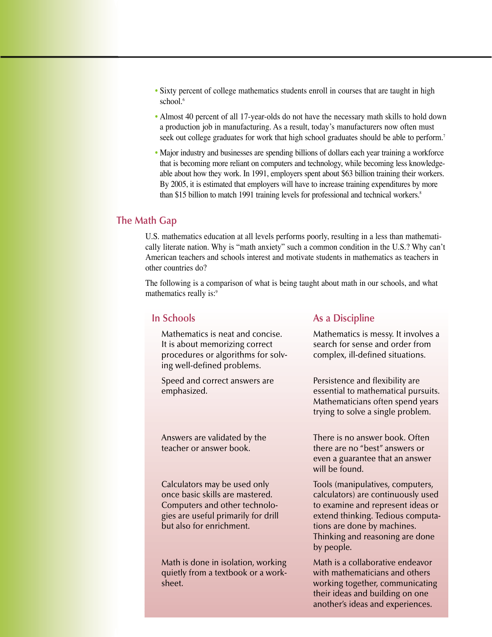- Sixty percent of college mathematics students enroll in courses that are taught in high school.<sup>6</sup>
- Almost 40 percent of all 17-year-olds do not have the necessary math skills to hold down a production job in manufacturing. As a result, today's manufacturers now often must seek out college graduates for work that high school graduates should be able to perform.<sup>7</sup>
- Major industry and businesses are spending billions of dollars each year training a workforce that is becoming more reliant on computers and technology, while becoming less knowledgeable about how they work. In 1991, employers spent about \$63 billion training their workers. By 2005, it is estimated that employers will have to increase training expenditures by more than \$15 billion to match 1991 training levels for professional and technical workers.<sup>8</sup>

#### **The Math Gap**

U.S. mathematics education at all levels performs poorly, resulting in a less than mathematically literate nation. Why is "math anxiety" such a common condition in the U.S.? Why can't American teachers and schools interest and motivate students in mathematics as teachers in other countries do?

The following is a comparison of what is being taught about math in our schools, and what mathematics really is:<sup>9</sup>

#### **In Schools**

Mathematics is neat and concise. It is about memorizing correct procedures or algorithms for solving well-defined problems.

Speed and correct answers are emphasized.

Answers are validated by the teacher or answer book.

Calculators may be used only once basic skills are mastered. Computers and other technologies are useful primarily for drill but also for enrichment.

Math is done in isolation, working quietly from a textbook or a worksheet.

#### **As a Discipline**

Mathematics is messy. It involves a search for sense and order from complex, ill-defined situations.

Persistence and flexibility are essential to mathematical pursuits. Mathematicians often spend years trying to solve a single problem.

There is no answer book. Often there are no "best" answers or even a guarantee that an answer will be found.

Tools (manipulatives, computers, calculators) are continuously used to examine and represent ideas or extend thinking. Tedious computations are done by machines. Thinking and reasoning are done by people.

Math is a collaborative endeavor with mathematicians and others working together, communicating their ideas and building on one another's ideas and experiences.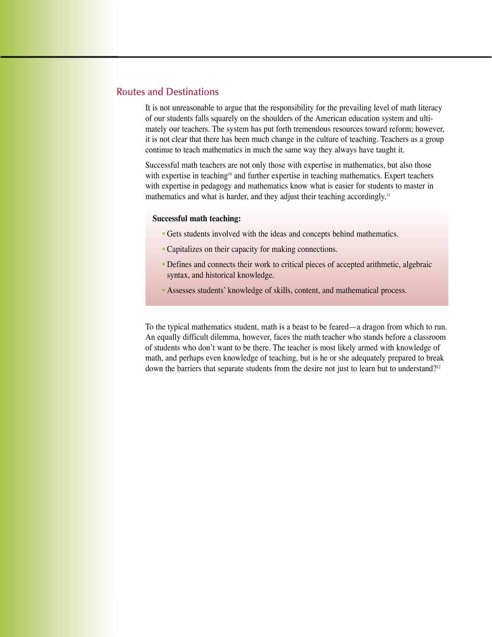#### **Routes and Destinations**

It is not unreasonable to argue that the responsibility for the prevailing level of math literacy of our students falls squarely on the shoulders of the American education system and ultimately our teachers. The system has put forth tremendous resources toward reform; however, it is not clear that there has been much change in the culture of teaching. Teachers as a group continue to teach mathematics in much the same way they always have taught it.

Successful math teachers are not only those with expertise in mathematics, but also those with expertise in teaching<sup>10</sup> and further expertise in teaching mathematics. Expert teachers with expertise in pedagogy and mathematics know what is easier for students to master in mathematics and what is harder, and they adjust their teaching accordingly.<sup>11</sup>

#### **Successful math teaching:**

- Gets students involved with the ideas and concepts behind mathematics.
- Capitalizes on their capacity for making connections.
- Defines and connects their work to critical pieces of accepted arithmetic, algebraic syntax, and historical knowledge.
- Assesses students' knowledge of skills, content, and mathematical process.

To the typical mathematics student, math is a beast to be feared—a dragon from which to run. An equally difficult dilemma, however, faces the math teacher who stands before a classroom of students who don't want to be there. The teacher is most likely armed with knowledge of math, and perhaps even knowledge of teaching, but is he or she adequately prepared to break down the barriers that separate students from the desire not just to learn but to understand?<sup>12</sup>